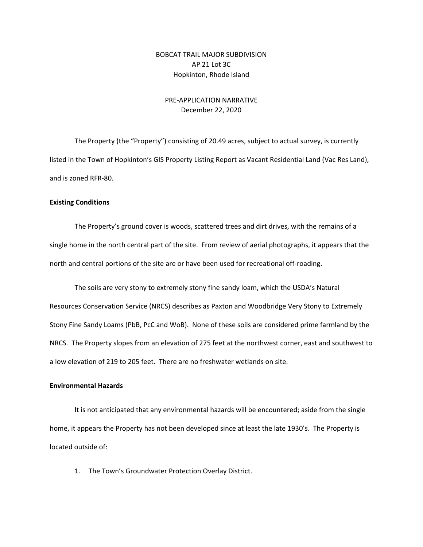## BOBCAT TRAIL MAJOR SUBDIVISION AP 21 Lot 3C Hopkinton, Rhode Island

## PRE‐APPLICATION NARRATIVE December 22, 2020

The Property (the "Property") consisting of 20.49 acres, subject to actual survey, is currently listed in the Town of Hopkinton's GIS Property Listing Report as Vacant Residential Land (Vac Res Land), and is zoned RFR‐80.

#### **Existing Conditions**

The Property's ground cover is woods, scattered trees and dirt drives, with the remains of a single home in the north central part of the site. From review of aerial photographs, it appears that the north and central portions of the site are or have been used for recreational off-roading.

The soils are very stony to extremely stony fine sandy loam, which the USDA's Natural Resources Conservation Service (NRCS) describes as Paxton and Woodbridge Very Stony to Extremely Stony Fine Sandy Loams (PbB, PcC and WoB). None of these soils are considered prime farmland by the NRCS. The Property slopes from an elevation of 275 feet at the northwest corner, east and southwest to a low elevation of 219 to 205 feet. There are no freshwater wetlands on site.

#### **Environmental Hazards**

It is not anticipated that any environmental hazards will be encountered; aside from the single home, it appears the Property has not been developed since at least the late 1930's. The Property is located outside of:

1. The Town's Groundwater Protection Overlay District.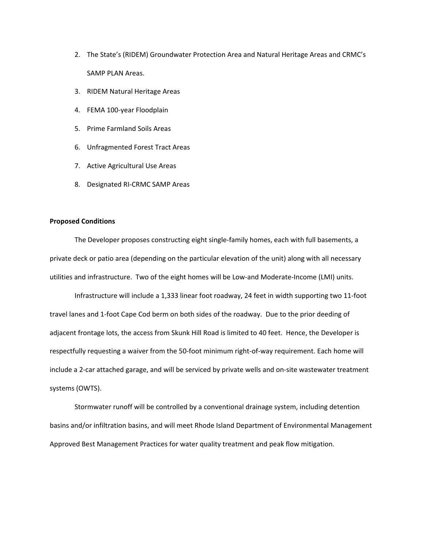- 2. The State's (RIDEM) Groundwater Protection Area and Natural Heritage Areas and CRMC's SAMP PLAN Areas.
- 3. RIDEM Natural Heritage Areas
- 4. FEMA 100‐year Floodplain
- 5. Prime Farmland Soils Areas
- 6. Unfragmented Forest Tract Areas
- 7. Active Agricultural Use Areas
- 8. Designated RI‐CRMC SAMP Areas

### **Proposed Conditions**

The Developer proposes constructing eight single‐family homes, each with full basements, a private deck or patio area (depending on the particular elevation of the unit) along with all necessary utilities and infrastructure. Two of the eight homes will be Low‐and Moderate‐Income (LMI) units.

Infrastructure will include a 1,333 linear foot roadway, 24 feet in width supporting two 11‐foot travel lanes and 1‐foot Cape Cod berm on both sides of the roadway. Due to the prior deeding of adjacent frontage lots, the access from Skunk Hill Road is limited to 40 feet. Hence, the Developer is respectfully requesting a waiver from the 50‐foot minimum right‐of‐way requirement. Each home will include a 2‐car attached garage, and will be serviced by private wells and on‐site wastewater treatment systems (OWTS).

Stormwater runoff will be controlled by a conventional drainage system, including detention basins and/or infiltration basins, and will meet Rhode Island Department of Environmental Management Approved Best Management Practices for water quality treatment and peak flow mitigation.